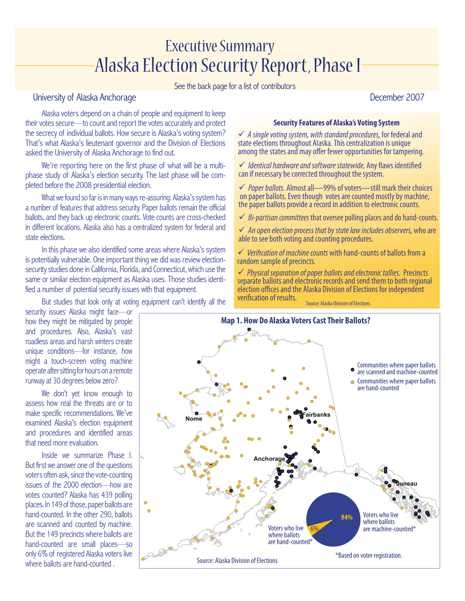# Executive Summary Alaska Election Security Report, Phase I

See the back page for a list of contributors

# University of Alaska Anchorage **December 2007**

Alaska voters depend on a chain of people and equipment to keep their votes secure—to count and report the votes accurately and protect the secrecy of individual ballots. How secure is Alaska's voting system? That's what Alaska's lieutenant governor and the Division of Elections asked the University of Alaska Anchorage to find out.

We're reporting here on the first phase of what will be a multiphase study of Alaska's election security. The last phase will be completed before the 2008 presidential election.

What we found so far is in many ways re-assuring: Alaska's system has a number of features that address security. Paper ballots remain the official ballots, and they back up electronic counts. Vote counts are cross-checked in different locations. Alaska also has a centralized system for federal and state elections.

In this phase we also identified some areas where Alaska's system is potentially vulnerable. One important thing we did was review electionsecurity studies done in California, Florida, and Connecticut, which use the same or similar election equipment as Alaska uses. Those studies identified a number of potential security issues with that equipment.

But studies that look only at voting equipment can't identify all the

#### **Security Features of Alaska's Voting System**

� *A single voting system, with standard procedures,* for federal and state elections throughout Alaska*.* This centralization is unique among the states and may offer fewer opportunities for tampering.

 $\checkmark$  *Identical hardware and software statewide*. Any flaws identified can if necessary be corrected throughout the system.

� *Paper ballots.* Almost all—99% ofvoters—still mark their choices on paper ballots. Even though votes are counted mostly by machine, the paper ballots provide a record in addition to electronic counts.

� *Bi-partisan committees* that oversee polling places and do hand-counts.

� *An open election process that by statelaw includes observers,* whoare able to see both voting and counting procedures.

 $\checkmark$  *Verification of machine counts* with hand-counts of ballots from a random sample of precincts.

� *Physical separation of paper ballots andelectronic tallies.* Precincts separate ballots and electronic records and send them to both regional election offices and the Alaska Division of Elections for independent verification of results. Source: Alaska Division of Elections

security issues Alaska might face—or how they might be mitigated by people and procedures. Also, Alaska's vast roadless areas and harsh winters create unique conditions—for instance, how might a touch-screen voting machine operate after sitting for hours on a remote runway at 30 degrees below zero?

We don't yet know enough to assess how real the threats are or to make specific recommendations. We've examined Alaska's election equipment and procedures and identified areas that need more evaluation.

Inside we summarize Phase I. But first we answer one of the questions voters often ask, since the vote-counting issues of the 2000 election—how are votes counted? Alaska has 439 polling places. In 149 of those, paper ballots are hand-counted. In the other 290, ballots are scanned and counted by machine. But the 149 precincts where ballots are hand-counted are small places—so only 6% of registered Alaska voters live where ballots are hand-counted .

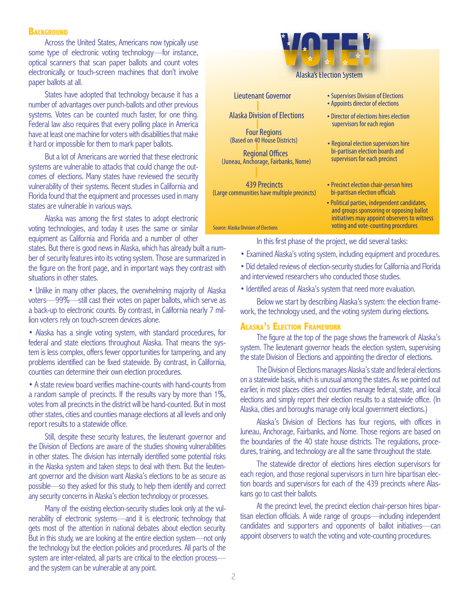#### **BACKGROUND**

Across the United States, Americans now typically use some type of electronic voting technology—for instance, optical scanners that scan paper ballots and count votes electronically, or touch-screen machines that don't involve paper ballots at all.

States have adopted that technology because it has a number of advantages over punch-ballots and other previous systems. Votes can be counted much faster, for one thing. Federal law also requires that every polling place in America have at least one machine for voters with disabilities that make it hard or impossible for them to mark paper ballots.

But a lot of Americans are worried that these electronic systems are vulnerable to attacks that could change the outcomes of elections. Many states have reviewed the security vulnerability of their systems. Recent studies in California and Florida found that the equipment and processes used in many states are vulnerable in various ways.

Alaska was among the first states to adopt electronic voting technologies, and today it uses the same or similar equipment as California and Florida and a number of other

states. But there is good news in Alaska, which has already built a number of security features into its voting system. Those are summarized in the figure on the front page, and in important ways they contrast with situations in other states.

• Unlike in many other places, the overwhelming majority of Alaska voters—99%—still cast their votes on paper ballots, which serve as a back-up to electronic counts. By contrast, in California nearly 7 million voters rely on touch-screen devices alone.

• Alaska has a single voting system, with standard procedures, for federal and state elections throughout Alaska. That means the system is less complex, offers fewer opportunities for tampering, and any problems identified can be fixed statewide. By contrast, in California, counties can determine their own election procedures.

• A state review board verifies machine-counts with hand-counts from a random sample of precincts. If the results vary by more than 1%, votes from all precincts in the district will be hand-counted. But in most other states, cities and counties manage elections at all levels and only report results to a statewide office.

Still, despite these security features, the lieutenant governor and the Division of Elections are aware of the studies showing vulnerabilities in other states. The division has internally identified some potential risks in the Alaska system and taken steps to deal with them. But the lieutenant governor and the division want Alaska's elections to be as secure as possible—so they asked for this study, to help them identify and correct any security concerns in Alaska's election technology or processes.

Many of the existing election-security studies look only at the vulnerability of electronic systems—and it is electronic technology that gets most of the attention in national debates about election security. But in this study, we are looking at the entire election system—not only the technology but the election policies and procedures. All parts of the system are inter-related, all parts are critical to the election process and the system can be vulnerable at any point.



- Examined Alaska's voting system, including equipment and procedures.
- Did detailed reviews of election-security studies for California and Florida and interviewed researchers who conducted those studies.
- Identified areas of Alaska's system that need more evaluation.

Below we start by describing Alaska's system: the election framework, the technology used, and the voting system during elections.

#### **Alaska's Election Framework**

The figure at the top of the page shows the framework of Alaska's system. The lieutenant governor heads the election system, supervising the state Division of Elections and appointing the director of elections.

The Division of Elections manages Alaska's state and federal elections on a statewide basis, which is unusual among the states. As we pointed out earlier, in most places cities and counties manage federal, state, and local elections and simply report their election results to a statewide office. (In Alaska, cities and boroughs manage only local government elections.)

Alaska's Division of Elections has four regions, with offices in Juneau, Anchorage, Fairbanks, and Nome. Those regions are based on the boundaries of the 40 state house districts. The regulations, procedures, training, and technology are all the same throughout the state.

The statewide director of elections hires election supervisors for each region, and those regional supervisors in turn hire bipartisan election boards and supervisors for each of the 439 precincts where Alaskans go to cast their ballots.

At the precinct level, the precinct election chair-person hires bipartisan election officials. A wide range of groups—including independent candidates and supporters and opponents of ballot initiatives—can appoint observers to watch the voting and vote-counting procedures.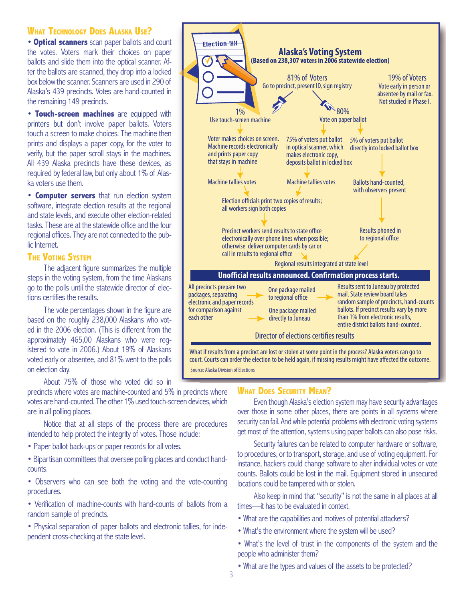## **What Technology Does Alaska Use?**

• **Optical scanners** scan paper ballots and count the votes. Voters mark their choices on paper ballots and slide them into the optical scanner. After the ballots are scanned, they drop into a locked box below the scanner. Scanners are used in 290 of Alaska's 439 precincts. Votes are hand-counted in the remaining 149 precincts.

• **Touch-screen machines** are equipped with printers but don't involve paper ballots. Voters touch a screen to make choices. The machine then prints and displays a paper copy, for the voter to verify, but the paper scroll stays in the machines. All 439 Alaska precincts have these devices, as required by federal law, but only about 1% of Alaska voters use them.

• **Computer servers** that run election system software, integrate election results at the regional and state levels, and execute other election-related tasks. These are at the statewide office and the four regional offices. They are not connected to the public Internet.

#### **The Voting System**

The adjacent figure summarizes the multiple steps in the voting system, from the time Alaskans go to the polls until the statewide director of elections certifies the results.

The vote percentages shown in the figure are based on the roughly 238,000 Alaskans who voted in the 2006 election. (This is different from the approximately 465,00 Alaskans who were registered to vote in 2006.) About 19% of Alaskans voted early or absentee, and 81% went to the polls on election day.

About 75% of those who voted did so in

precincts where votes are machine-counted and 5% in precincts where votes are hand-counted. The other 1% used touch-screen devices, which are in all polling places.

Notice that at all steps of the process there are procedures intended to help protect the integrity of votes. Those include:

• Paper ballot back-ups or paper records for all votes.

• Bipartisan committees that oversee polling places and conduct handcounts.

• Observers who can see both the voting and the vote-counting procedures.

• Verification of machine-counts with hand-counts of ballots from a random sample of precincts.

• Physical separation of paper ballots and electronic tallies, for independent cross-checking at the state level.



What if results from a precinct are lost or stolen at some point in the process? Alaska voters can go to court. Courts can order the election to be held again, if missing results might have affected the outcome. Source: Alaska Division of Elections

#### **What Does Security Mean?**

Even though Alaska's election system may have security advantages over those in some other places, there are points in all systems where security can fail. And while potential problems with electronic voting systems get most of the attention, systems using paper ballots can also pose risks.

Security failures can be related to computer hardware or software, to procedures, or to transport, storage, and use of voting equipment. For instance, hackers could change software to alter individual votes or vote counts. Ballots could be lost in the mail. Equipment stored in unsecured locations could be tampered with or stolen.

Also keep in mind that "security" is not the same in all places at all times—it has to be evaluated in context.

- What are the capabilities and motives of potential attackers?
- What's the environment where the system will be used?
- What's the level of trust in the components of the system and the people who administer them?
- What are the types and values of the assets to be protected?